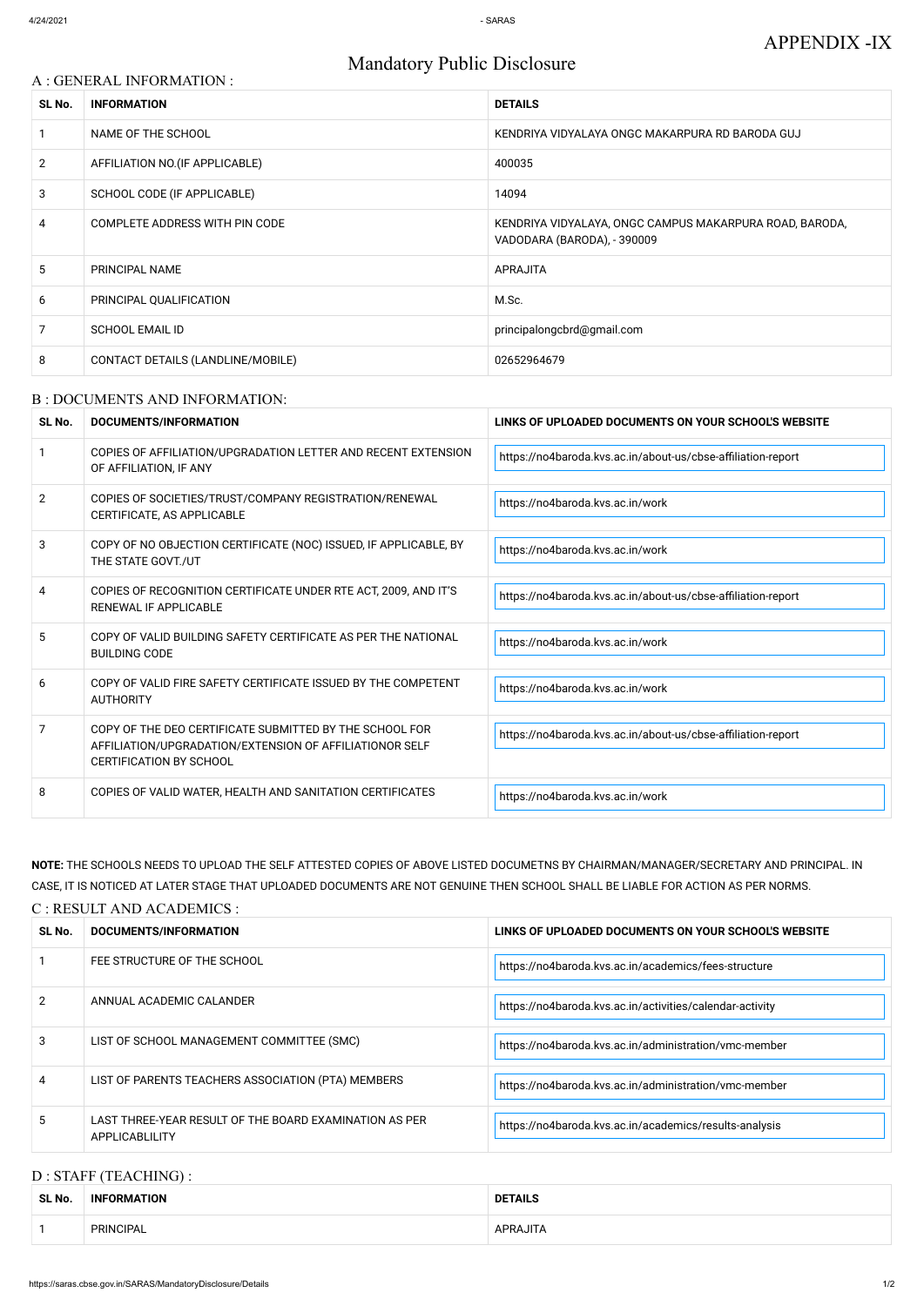# A : GENERAL INFORMATION : **SL No. INFORMATION DETAILS** 1 NAME OF THE SCHOOL NAME OF THE SCHOOL SUMMAN ASSESSMENT ASSESSMENT OF THE SCHOOL SUMMAN ASSESSMENT OF THE SCHOOL SUMMAN ASSESSMENT OF THE SCHOOL SUMMAN AND RAND RAND BARODA GUJ 2 AFFILIATION NO. (IF APPLICABLE) 400035 3 SCHOOL CODE (IF APPLICABLE) 14094 4 COMPLETE ADDRESS WITH PIN CODE KENDRIYA VIDYALAYA, ONGC CAMPUS MAKARPURA ROAD, BARODA, VADODARA (BARODA), - 390009 5 PRINCIPAL NAME APRAJITA 6 PRINCIPAL QUALIFICATION M.Sc. 7 SCHOOL EMAIL ID **principalongcbrd@gmail.com** 8 CONTACT DETAILS (LANDLINE/MOBILE) 202652964679

# Mandatory Public Disclosure

#### B : DOCUMENTS AND INFORMATION:

| SL No.         | <b>DOCUMENTS/INFORMATION</b>                                                                                                                         | LINKS OF UPLOADED DOCUMENTS ON YOUR SCHOOL'S WEBSITE         |  |
|----------------|------------------------------------------------------------------------------------------------------------------------------------------------------|--------------------------------------------------------------|--|
|                | COPIES OF AFFILIATION/UPGRADATION LETTER AND RECENT EXTENSION<br>OF AFFILIATION, IF ANY                                                              | https://no4baroda.kvs.ac.in/about-us/cbse-affiliation-report |  |
| $\overline{2}$ | COPIES OF SOCIETIES/TRUST/COMPANY REGISTRATION/RENEWAL<br>CERTIFICATE, AS APPLICABLE                                                                 | https://no4baroda.kvs.ac.in/work                             |  |
| 3              | COPY OF NO OBJECTION CERTIFICATE (NOC) ISSUED, IF APPLICABLE, BY<br>THE STATE GOVT./UT                                                               | https://no4baroda.kvs.ac.in/work                             |  |
| 4              | COPIES OF RECOGNITION CERTIFICATE UNDER RTE ACT, 2009, AND IT'S<br><b>RENEWAL IF APPLICABLE</b>                                                      | https://no4baroda.kvs.ac.in/about-us/cbse-affiliation-report |  |
| 5              | COPY OF VALID BUILDING SAFETY CERTIFICATE AS PER THE NATIONAL<br><b>BUILDING CODE</b>                                                                | https://no4baroda.kvs.ac.in/work                             |  |
| 6              | COPY OF VALID FIRE SAFETY CERTIFICATE ISSUED BY THE COMPETENT<br><b>AUTHORITY</b>                                                                    | https://no4baroda.kvs.ac.in/work                             |  |
| 7              | COPY OF THE DEO CERTIFICATE SUBMITTED BY THE SCHOOL FOR<br>AFFILIATION/UPGRADATION/EXTENSION OF AFFILIATIONOR SELF<br><b>CERTIFICATION BY SCHOOL</b> | https://no4baroda.kvs.ac.in/about-us/cbse-affiliation-report |  |
| 8              | COPIES OF VALID WATER, HEALTH AND SANITATION CERTIFICATES                                                                                            | https://no4baroda.kvs.ac.in/work                             |  |

| 2 | ANNUAL ACADEMIC CALANDER                                                 | https://no4baroda.kvs.ac.in/activities/calendar-activity |
|---|--------------------------------------------------------------------------|----------------------------------------------------------|
| 3 | LIST OF SCHOOL MANAGEMENT COMMITTEE (SMC)                                | https://no4baroda.kvs.ac.in/administration/vmc-member    |
|   | LIST OF PARENTS TEACHERS ASSOCIATION (PTA) MEMBERS                       | https://no4baroda.kvs.ac.in/administration/vmc-member    |
|   | LAST THREE-YEAR RESULT OF THE BOARD EXAMINATION AS PER<br>APPLICABLILITY | https://no4baroda.kvs.ac.in/academics/results-analysis   |

**NOTE:** THE SCHOOLS NEEDS TO UPLOAD THE SELF ATTESTED COPIES OF ABOVE LISTED DOCUMETNS BY CHAIRMAN/MANAGER/SECRETARY AND PRINCIPAL. IN CASE, IT IS NOTICED AT LATER STAGE THAT UPLOADED DOCUMENTS ARE NOT GENUINE THEN SCHOOL SHALL BE LIABLE FOR ACTION AS PER NORMS.

#### C : RESULT AND ACADEMICS :

| SL No. | <b>DOCUMENTS/INFORMATION</b> | LINKS OF UPLOADED DOCUMENTS ON YOUR SCHOOL'S WEBSITE |  |
|--------|------------------------------|------------------------------------------------------|--|
|        | FEE STRUCTURE OF THE SCHOOL  | https://no4baroda.kvs.ac.in/academics/fees-structure |  |

#### D : STAFF (TEACHING) :

| SL No. | <b>INFORMATION</b> | <b>DETAILS</b>  |
|--------|--------------------|-----------------|
|        |                    |                 |
|        | <b>PRINCIPAL</b>   | <b>APRAJITA</b> |